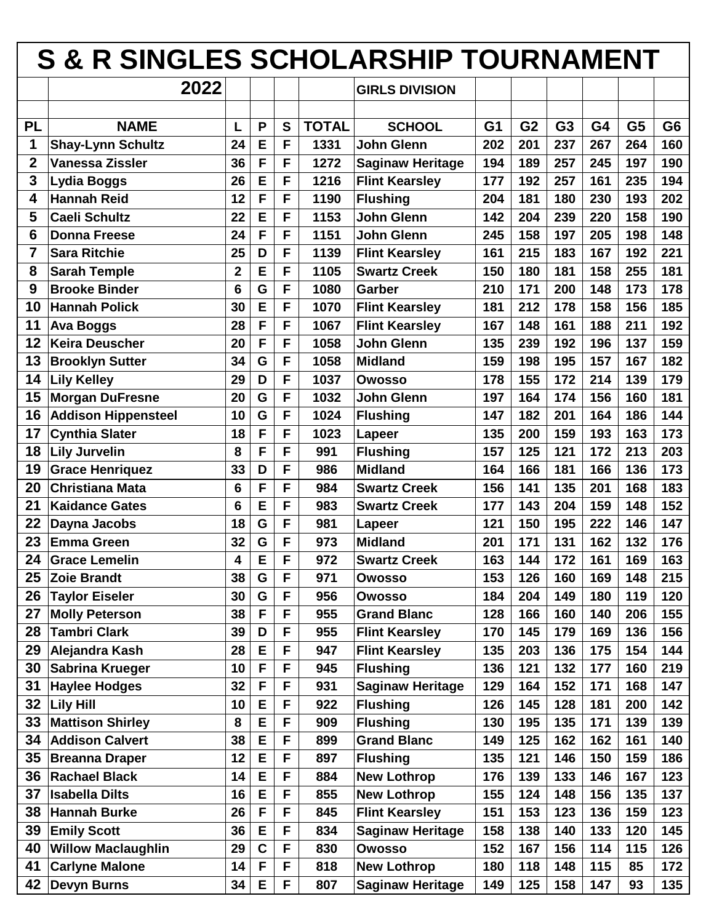|                         | <b>S &amp; R SINGLES SCHOLARSHIP TOURNAMENT</b> |             |             |    |              |                         |                |                |                |     |                |                |
|-------------------------|-------------------------------------------------|-------------|-------------|----|--------------|-------------------------|----------------|----------------|----------------|-----|----------------|----------------|
|                         | 2022                                            |             |             |    |              | <b>GIRLS DIVISION</b>   |                |                |                |     |                |                |
|                         |                                                 |             |             |    |              |                         |                |                |                |     |                |                |
| <b>PL</b>               | <b>NAME</b>                                     | L           | P           | S  | <b>TOTAL</b> | <b>SCHOOL</b>           | G <sub>1</sub> | G <sub>2</sub> | G <sub>3</sub> | G4  | G <sub>5</sub> | G <sub>6</sub> |
| 1                       | <b>Shay-Lynn Schultz</b>                        | 24          | E           | F  | 1331         | John Glenn              | 202            | 201            | 237            | 267 | 264            | 160            |
| $\overline{\mathbf{2}}$ | <b>Vanessa Zissler</b>                          | 36          | F           | F  | 1272         | <b>Saginaw Heritage</b> | 194            | 189            | 257            | 245 | 197            | 190            |
| 3                       | <b>Lydia Boggs</b>                              | 26          | E           | F  | 1216         | <b>Flint Kearsley</b>   | 177            | 192            | 257            | 161 | 235            | 194            |
| 4                       | <b>Hannah Reid</b>                              | 12          | F           | F  | 1190         | <b>Flushing</b>         | 204            | 181            | 180            | 230 | 193            | 202            |
| 5                       | <b>Caeli Schultz</b>                            | 22          | E           | F  | 1153         | John Glenn              | 142            | 204            | 239            | 220 | 158            | 190            |
| 6                       | <b>Donna Freese</b>                             | 24          | F           | F  | 1151         | <b>John Glenn</b>       | 245            | 158            | 197            | 205 | 198            | 148            |
| 7                       | <b>Sara Ritchie</b>                             | 25          | D           | F  | 1139         | <b>Flint Kearsley</b>   | 161            | 215            | 183            | 167 | 192            | 221            |
| 8                       | <b>Sarah Temple</b>                             | $\mathbf 2$ | E           | F  | 1105         | <b>Swartz Creek</b>     | 150            | 180            | 181            | 158 | 255            | 181            |
| 9                       | <b>Brooke Binder</b>                            | 6           | G           | F  | 1080         | Garber                  | 210            | 171            | 200            | 148 | 173            | 178            |
| 10                      | <b>Hannah Polick</b>                            | 30          | E           | F  | 1070         | <b>Flint Kearsley</b>   | 181            | 212            | 178            | 158 | 156            | 185            |
| 11                      | <b>Ava Boggs</b>                                | 28          | F           | F  | 1067         | <b>Flint Kearsley</b>   | 167            | 148            | 161            | 188 | 211            | 192            |
| 12                      | <b>Keira Deuscher</b>                           | 20          | F           | F  | 1058         | John Glenn              | 135            | 239            | 192            | 196 | 137            | 159            |
| 13                      | <b>Brooklyn Sutter</b>                          | 34          | G           | F  | 1058         | <b>Midland</b>          | 159            | 198            | 195            | 157 | 167            | 182            |
| 14                      | <b>Lily Kelley</b>                              | 29          | D           | F  | 1037         | <b>Owosso</b>           | 178            | 155            | 172            | 214 | 139            | 179            |
| 15                      | <b>Morgan DuFresne</b>                          | 20          | G           | F  | 1032         | John Glenn              | 197            | 164            | 174            | 156 | 160            | 181            |
| 16                      | <b>Addison Hippensteel</b>                      | 10          | G           | F  | 1024         | <b>Flushing</b>         | 147            | 182            | 201            | 164 | 186            | 144            |
| 17                      | <b>Cynthia Slater</b>                           | 18          | F           | F  | 1023         | Lapeer                  | 135            | 200            | 159            | 193 | 163            | 173            |
| 18                      | <b>Lily Jurvelin</b>                            | 8           | F           | F  | 991          | <b>Flushing</b>         | 157            | 125            | 121            | 172 | 213            | 203            |
| 19                      | <b>Grace Henriquez</b>                          | 33          | D           | F  | 986          | <b>Midland</b>          | 164            | 166            | 181            | 166 | 136            | 173            |
| 20                      | <b>Christiana Mata</b>                          | 6           | F           | F  | 984          | <b>Swartz Creek</b>     | 156            | 141            | 135            | 201 | 168            | 183            |
| 21                      | <b>Kaidance Gates</b>                           | 6           | E           | F  | 983          | <b>Swartz Creek</b>     | 177            | 143            | 204            | 159 | 148            | 152            |
| 22                      | Dayna Jacobs                                    | 18          | G           | F  | 981          | Lapeer                  | 121            | 150            | 195            | 222 | 146            | 147            |
| 23                      | <b>Emma Green</b>                               | 32          | G           | F  | 973          | <b>Midland</b>          | 201            | 171            | 131            | 162 | 132            | 176            |
| 24                      | <b>Grace Lemelin</b>                            | 4           | E           | F  | 972          | <b>Swartz Creek</b>     | 163            | 144            | 172            | 161 | 169            | 163            |
| 25                      | <b>Zoie Brandt</b>                              | 38          | G           | F  | 971          | Owosso                  | 153            | 126            | 160            | 169 | 148            | 215            |
| 26                      | <b>Taylor Eiseler</b>                           | 30          | G           | F  | 956          | Owosso                  | 184            | 204            | 149            | 180 | 119            | 120            |
| 27                      | <b>Molly Peterson</b>                           | 38          | F           | F  | 955          | <b>Grand Blanc</b>      | 128            | 166            | 160            | 140 | 206            | 155            |
| 28                      | <b>Tambri Clark</b>                             | 39          | D           | F  | 955          | <b>Flint Kearsley</b>   | 170            | 145            | 179            | 169 | 136            | 156            |
| 29                      | Alejandra Kash                                  | 28          | E           | F. | 947          | <b>Flint Kearsley</b>   | 135            | 203            | 136            | 175 | 154            | 144            |
| 30                      | Sabrina Krueger                                 | 10          | F           | F  | 945          | <b>Flushing</b>         | 136            | 121            | 132            | 177 | 160            | 219            |
| 31                      | <b>Haylee Hodges</b>                            | 32          | F           | F  | 931          | <b>Saginaw Heritage</b> | 129            | 164            | 152            | 171 | 168            | 147            |
| 32                      | <b>Lily Hill</b>                                | 10          | E           | F  | 922          | <b>Flushing</b>         | 126            | 145            | 128            | 181 | 200            | 142            |
| 33                      | <b>Mattison Shirley</b>                         | 8           | E           | F  | 909          | <b>Flushing</b>         | 130            | 195            | 135            | 171 | 139            | 139            |
| 34                      | <b>Addison Calvert</b>                          | 38          | E           | F  | 899          | <b>Grand Blanc</b>      | 149            | 125            | 162            | 162 | 161            | 140            |
| 35                      | <b>Breanna Draper</b>                           | 12          | E           | F  | 897          | <b>Flushing</b>         | 135            | 121            | 146            | 150 | 159            | 186            |
| 36                      | <b>Rachael Black</b>                            | 14          | E           | F  | 884          | <b>New Lothrop</b>      | 176            | 139            | 133            | 146 | 167            | 123            |
| 37                      | <b>Isabella Dilts</b>                           | 16          | E           | F  | 855          | <b>New Lothrop</b>      | 155            | 124            | 148            | 156 | 135            | 137            |
| 38                      | <b>Hannah Burke</b>                             | 26          | F           | F  | 845          | <b>Flint Kearsley</b>   | 151            | 153            | 123            | 136 | 159            | 123            |
| 39                      | <b>Emily Scott</b>                              | 36          | E           | F  | 834          | <b>Saginaw Heritage</b> | 158            | 138            | 140            | 133 | 120            | 145            |
| 40                      | <b>Willow Maclaughlin</b>                       | 29          | $\mathbf C$ | F  | 830          | <b>Owosso</b>           | 152            | 167            | 156            | 114 | 115            | 126            |
| 41                      | <b>Carlyne Malone</b>                           | 14          | F           | F  | 818          | <b>New Lothrop</b>      | 180            | 118            | 148            | 115 | 85             | 172            |
| 42                      | <b>Devyn Burns</b>                              | 34          | E           | F  | 807          | <b>Saginaw Heritage</b> | 149            | 125            | 158            | 147 | 93             | 135            |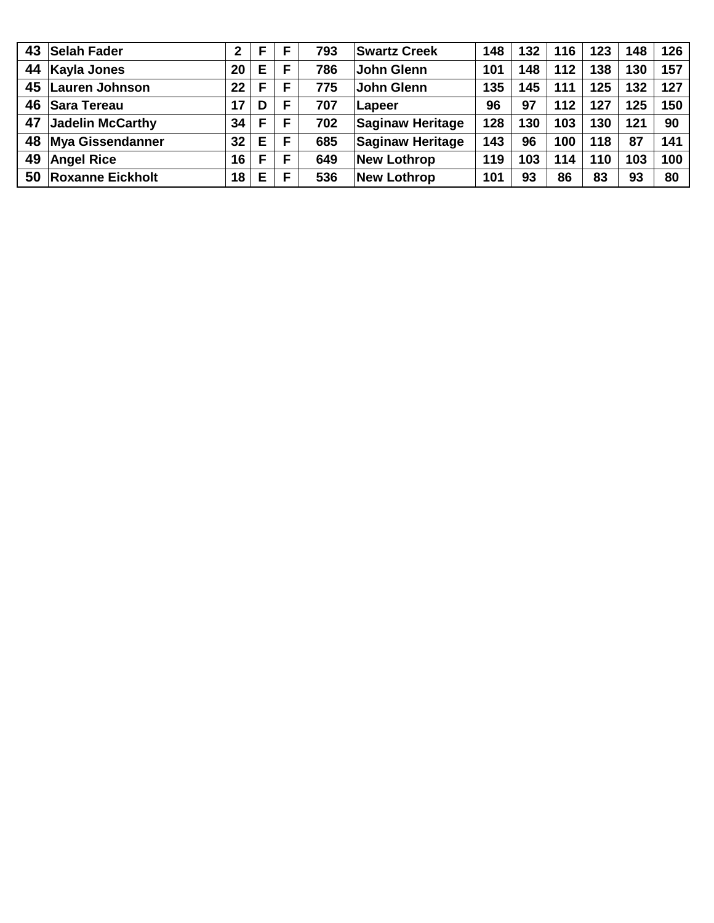| 43 | <b>Selah Fader</b>      | 2  | F |   | 793 | <b>Swartz Creek</b>     | 148 | 132 | 116   | 123 | 148 | 126 |
|----|-------------------------|----|---|---|-----|-------------------------|-----|-----|-------|-----|-----|-----|
| 44 | <b>Kayla Jones</b>      | 20 | Е | F | 786 | <b>John Glenn</b>       | 101 | 148 | $112$ | 138 | 130 | 157 |
| 45 | Lauren Johnson          | 22 | F | F | 775 | <b>John Glenn</b>       | 135 | 145 | 111   | 125 | 132 | 127 |
| 46 | <b>Sara Tereau</b>      | 17 | D | F | 707 | Lapeer                  | 96  | 97  | 112   | 127 | 125 | 150 |
| 47 | Jadelin McCarthy        | 34 | F | F | 702 | <b>Saginaw Heritage</b> | 128 | 130 | 103   | 130 | 121 | 90  |
| 48 | <b>Mya Gissendanner</b> | 32 | Е | F | 685 | <b>Saginaw Heritage</b> | 143 | 96  | 100   | 118 | 87  | 141 |
| 49 | <b>Angel Rice</b>       | 16 | F | F | 649 | <b>New Lothrop</b>      | 119 | 103 | 114   | 110 | 103 | 100 |
| 50 | <b>Roxanne Eickholt</b> | 18 | Е | F | 536 | <b>New Lothrop</b>      | 101 | 93  | 86    | 83  | 93  | 80  |